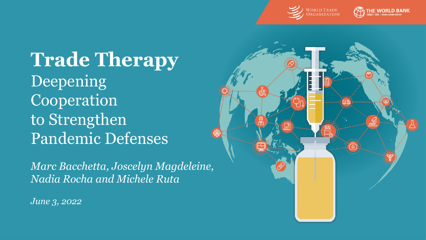



**Trade Therapy** Deepening Cooperation to Strengthen Pandemic Defenses

*Marc Bacchetta, Joscelyn Magdeleine, Nadia Rocha and Michele Ruta*

*June 3, 2022*

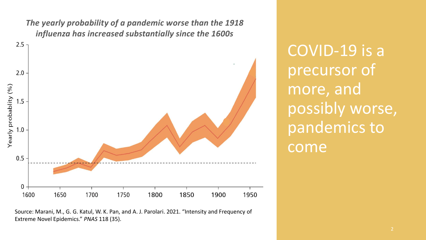*The yearly probability of a pandemic worse than the 1918 influenza has increased substantially since the 1600s*



Source: Marani, M., G. G. Katul, W. K. Pan, and A. J. Parolari. 2021. "Intensity and Frequency of Extreme Novel Epidemics." *PNAS* 118 (35).

COVID-19 is a precursor of more, and possibly worse, pandemics to come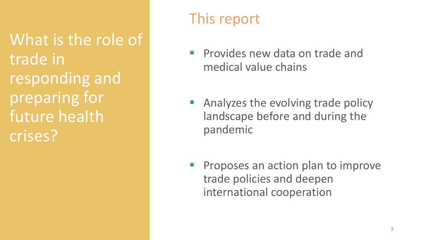What is the role of trade in responding and preparing for future health crises?

# This report

- **Provides new data on trade and** medical value chains
- Analyzes the evolving trade policy landscape before and during the pandemic
- Proposes an action plan to improve trade policies and deepen international cooperation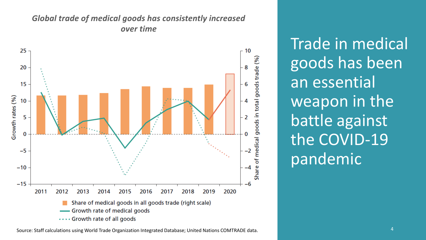

#### *Global trade of medical goods has consistently increased over time*

Trade in medical goods has been an essential weapon in the battle against the COVID-19 pandemic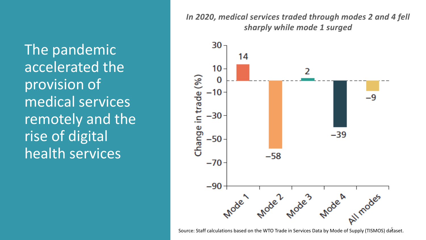The pandemic accelerated the provision of medical services remotely and the rise of digital health services

*In 2020, medical services traded through modes 2 and 4 fell sharply while mode 1 surged* 



5 Source: Staff calculations based on the WTO Trade in Services Data by Mode of Supply (TISMOS) dataset.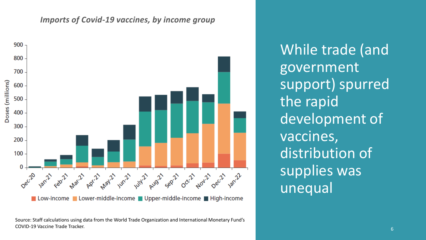#### *Imports of Covid-19 vaccines, by income group*



Source: Staff calculations using data from the World Trade Organization and International Monetary Fund's COVID-19 Vaccine Trade Tracker.

While trade (and government support) spurred the rapid development of vaccines, distribution of supplies was unequal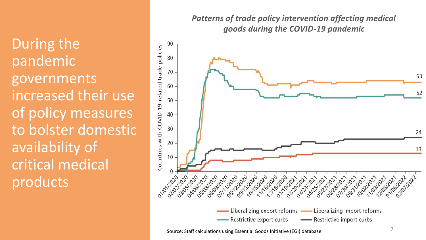During the pandemic governments increased their use of policy measures to bolster domestic availability of critical medical products

*Patterns of trade policy intervention affecting medical goods during the COVID-19 pandemic*



Source: Staff calculations using Essential Goods Initiative (EGI) database.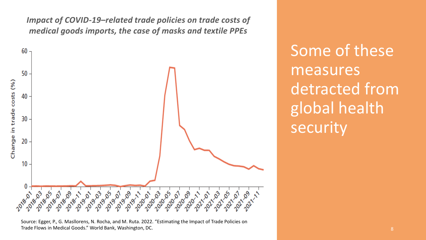*Impact of COVID-19–related trade policies on trade costs of medical goods imports, the case of masks and textile PPEs*



Source: Egger, P., G. Masllorens, N. Rocha, and M. Ruta. 2022. "Estimating the Impact of Trade Policies on Trade Flows in Medical Goods." World Bank, Washington, DC.

Some of these measures detracted from global health security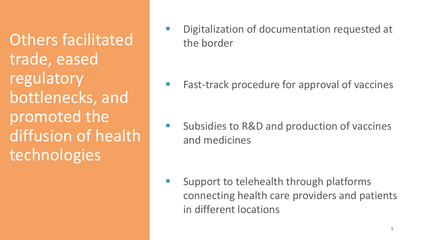Others facilitated trade, eased regulatory bottlenecks, and promoted the diffusion of health **technologies** 

■ Digitalization of documentation requested at the border

■ Fast-track procedure for approval of vaccines

■ Subsidies to R&D and production of vaccines and medicines

■ Support to telehealth through platforms connecting health care providers and patients in different locations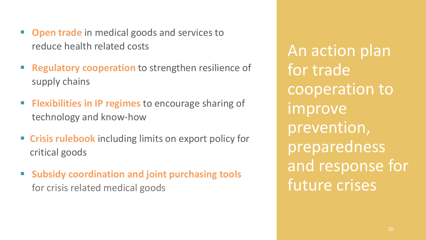- **Open trade** in medical goods and services to reduce health related costs
- **Regulatory cooperation** to strengthen resilience of supply chains
- **EXIBILITE IS IN IP regimes** to encourage sharing of technology and know-how
- **Example 1 Crisis rulebook** including limits on export policy for critical goods
- **Subsidy coordination and joint purchasing tools** for crisis related medical goods

An action plan for trade cooperation to improve prevention, preparedness and response for future crises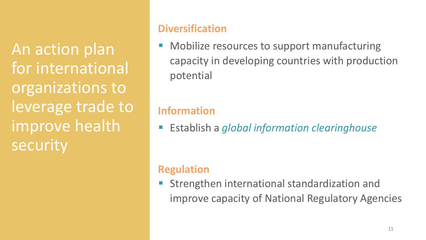An action plan for international organizations to leverage trade to improve health security

#### **Diversification**

Mobilize resources to support manufacturing capacity in developing countries with production potential

### **Information**

▪ Establish a *global information clearinghouse*

### **Regulation**

Strengthen international standardization and improve capacity of National Regulatory Agencies